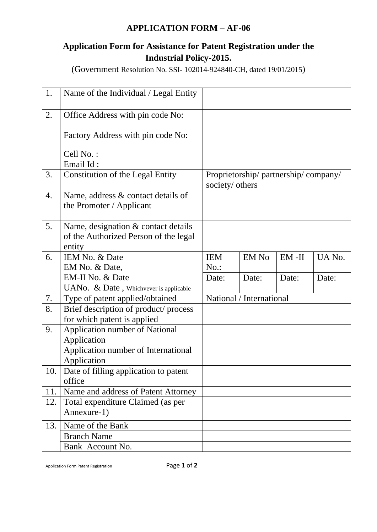## **APPLICATION FORM – AF-06**

## **Application Form for Assistance for Patent Registration under the Industrial Policy-2015.**

(Government Resolution No. SSI- 102014-924840-CH, dated 19/01/2015)

| 1.  | Name of the Individual / Legal Entity                               |                                                        |                          |          |        |
|-----|---------------------------------------------------------------------|--------------------------------------------------------|--------------------------|----------|--------|
| 2.  | Office Address with pin code No:                                    |                                                        |                          |          |        |
|     | Factory Address with pin code No:                                   |                                                        |                          |          |        |
|     | Cell No.:                                                           |                                                        |                          |          |        |
|     | Email Id:                                                           |                                                        |                          |          |        |
| 3.  | <b>Constitution of the Legal Entity</b>                             | Proprietorship/partnership/company/<br>society/ others |                          |          |        |
| 4.  | Name, address & contact details of<br>the Promoter / Applicant      |                                                        |                          |          |        |
| 5.  | Name, designation & contact details                                 |                                                        |                          |          |        |
|     | of the Authorized Person of the legal                               |                                                        |                          |          |        |
|     | entity                                                              |                                                        |                          |          |        |
| 6.  | IEM No. & Date                                                      | <b>IEM</b>                                             | <b>EM No</b>             | $EM$ -II | UA No. |
|     | EM No. & Date,                                                      | $No.$ :                                                |                          |          |        |
|     | EM-II No. & Date                                                    | Date:                                                  | Date:                    | Date:    | Date:  |
|     | UANo. & Date, Whichvever is applicable                              |                                                        |                          |          |        |
| 7.  | Type of patent applied/obtained                                     |                                                        | National / International |          |        |
| 8.  | Brief description of product/process<br>for which patent is applied |                                                        |                          |          |        |
| 9.  | Application number of National                                      |                                                        |                          |          |        |
|     | Application                                                         |                                                        |                          |          |        |
|     | Application number of International                                 |                                                        |                          |          |        |
|     | Application                                                         |                                                        |                          |          |        |
| 10. | Date of filling application to patent                               |                                                        |                          |          |        |
|     | office                                                              |                                                        |                          |          |        |
| 11. | Name and address of Patent Attorney                                 |                                                        |                          |          |        |
| 12. | Total expenditure Claimed (as per                                   |                                                        |                          |          |        |
|     | Annexure-1)                                                         |                                                        |                          |          |        |
| 13. | Name of the Bank                                                    |                                                        |                          |          |        |
|     | <b>Branch Name</b>                                                  |                                                        |                          |          |        |
|     | Bank Account No.                                                    |                                                        |                          |          |        |